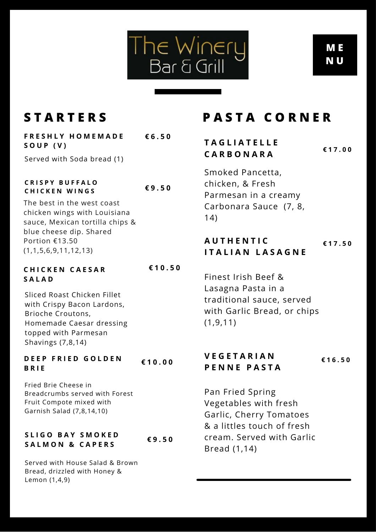

# **M E N U**

| FRESHLY HOMEMADE           | € $6.50$ |
|----------------------------|----------|
| SOUP (V)                   |          |
| Served with Soda bread (1) |          |
|                            |          |

#### **C R I S P Y B U F F A L O C H I C K E N W I N G S € 9 . 5 0**

The best in the west coast chicken wings with Louisiana sauce, Mexican tortilla chips & blue cheese dip. Shared Portion €13.50 (1,1,5,6,9,11,12,13)

#### **C H I C K E N C A E S A R S A L A D € 1 0 . 5 0**

Sliced Roast Chicken Fillet with Crispy Bacon Lardons, Brioche Croutons, Homemade Caesar dressing topped with Parmesan Shavings (7,8,14)

#### **D E E P F R I E D G O L D E N B R I E € 1 0 . 0 0**

Fried Brie Cheese in Breadcrumbs served with Forest Fruit Compote mixed with Garnish Salad (7,8,14,10)

## **S L I G O B A Y S M O K E D S A L M O N & C A P E R S € 9 . 5 0**

Served with House Salad & Brown Bread, drizzled with Honey & Lemon (1,4,9)

# **S T A R T E R S P A S T A C O R N E R**

# **T A G L I A T E L L E C A R B O N A R A € 1 7 . 0 0**

Smoked Pancetta, chicken, & Fresh Parmesan in a creamy Carbonara Sauce (7, 8, 14)

# **A U T H E N T I C I T A L I A N L A S A G N E € 1 7 . 5 0**

Finest Irish Beef & Lasagna Pasta in a traditional sauce, served with Garlic Bread, or chips (1,9,11)

# **V E G E T A R I A N P E N N E P A S T A € 1 6 . 5 0**

Pan Fried Spring Vegetables with fresh Garlic, Cherry Tomatoes & a littles touch of fresh cream. Served with Garlic Bread (1,14)